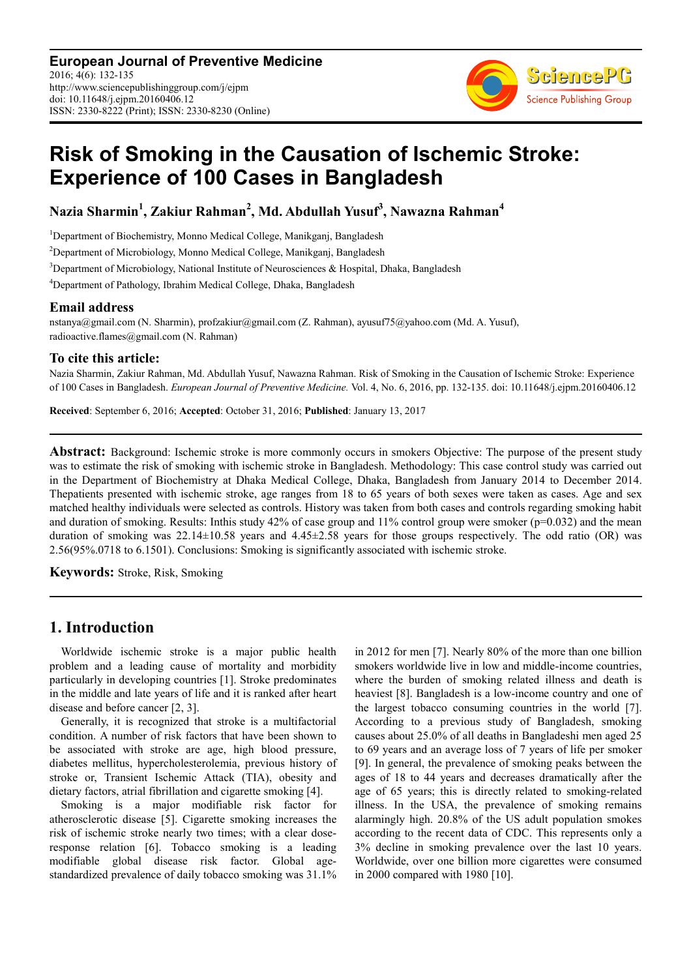**European Journal of Preventive Medicine** 2016; 4(6): 132-135 http://www.sciencepublishinggroup.com/j/ejpm doi: 10.11648/j.ejpm.20160406.12 ISSN: 2330-8222 (Print); ISSN: 2330-8230 (Online)



# **Risk of Smoking in the Causation of Ischemic Stroke: Experience of 100 Cases in Bangladesh**

**Nazia Sharmin<sup>1</sup> , Zakiur Rahman<sup>2</sup> , Md. Abdullah Yusuf<sup>3</sup> , Nawazna Rahman<sup>4</sup>**

<sup>1</sup>Department of Biochemistry, Monno Medical College, Manikganj, Bangladesh

<sup>2</sup>Department of Microbiology, Monno Medical College, Manikganj, Bangladesh

<sup>3</sup>Department of Microbiology, National Institute of Neurosciences & Hospital, Dhaka, Bangladesh

<sup>4</sup>Department of Pathology, Ibrahim Medical College, Dhaka, Bangladesh

#### **Email address**

nstanya@gmail.com (N. Sharmin), profzakiur@gmail.com (Z. Rahman), ayusuf75@yahoo.com (Md. A. Yusuf), radioactive.flames@gmail.com (N. Rahman)

#### **To cite this article:**

Nazia Sharmin, Zakiur Rahman, Md. Abdullah Yusuf, Nawazna Rahman. Risk of Smoking in the Causation of Ischemic Stroke: Experience of 100 Cases in Bangladesh. *European Journal of Preventive Medicine.* Vol. 4, No. 6, 2016, pp. 132-135. doi: 10.11648/j.ejpm.20160406.12

**Received**: September 6, 2016; **Accepted**: October 31, 2016; **Published**: January 13, 2017

**Abstract:** Background: Ischemic stroke is more commonly occurs in smokers Objective: The purpose of the present study was to estimate the risk of smoking with ischemic stroke in Bangladesh. Methodology: This case control study was carried out in the Department of Biochemistry at Dhaka Medical College, Dhaka, Bangladesh from January 2014 to December 2014. Thepatients presented with ischemic stroke, age ranges from 18 to 65 years of both sexes were taken as cases. Age and sex matched healthy individuals were selected as controls. History was taken from both cases and controls regarding smoking habit and duration of smoking. Results: Inthis study  $42\%$  of case group and  $11\%$  control group were smoker ( $p=0.032$ ) and the mean duration of smoking was 22.14±10.58 years and 4.45±2.58 years for those groups respectively. The odd ratio (OR) was 2.56(95%.0718 to 6.1501). Conclusions: Smoking is significantly associated with ischemic stroke.

**Keywords:** Stroke, Risk, Smoking

# **1. Introduction**

Worldwide ischemic stroke is a major public health problem and a leading cause of mortality and morbidity particularly in developing countries [1]. Stroke predominates in the middle and late years of life and it is ranked after heart disease and before cancer [2, 3].

Generally, it is recognized that stroke is a multifactorial condition. A number of risk factors that have been shown to be associated with stroke are age, high blood pressure, diabetes mellitus, hypercholesterolemia, previous history of stroke or, Transient Ischemic Attack (TIA), obesity and dietary factors, atrial fibrillation and cigarette smoking [4].

Smoking is a major modifiable risk factor for atherosclerotic disease [5]. Cigarette smoking increases the risk of ischemic stroke nearly two times; with a clear doseresponse relation [6]. Tobacco smoking is a leading modifiable global disease risk factor. Global agestandardized prevalence of daily tobacco smoking was 31.1%

in 2012 for men [7]. Nearly 80% of the more than one billion smokers worldwide live in low and middle-income countries, where the burden of smoking related illness and death is heaviest [8]. Bangladesh is a low-income country and one of the largest tobacco consuming countries in the world [7]. According to a previous study of Bangladesh, smoking causes about 25.0% of all deaths in Bangladeshi men aged 25 to 69 years and an average loss of 7 years of life per smoker [9]. In general, the prevalence of smoking peaks between the ages of 18 to 44 years and decreases dramatically after the age of 65 years; this is directly related to smoking-related illness. In the USA, the prevalence of smoking remains alarmingly high. 20.8% of the US adult population smokes according to the recent data of CDC. This represents only a 3% decline in smoking prevalence over the last 10 years. Worldwide, over one billion more cigarettes were consumed in 2000 compared with 1980 [10].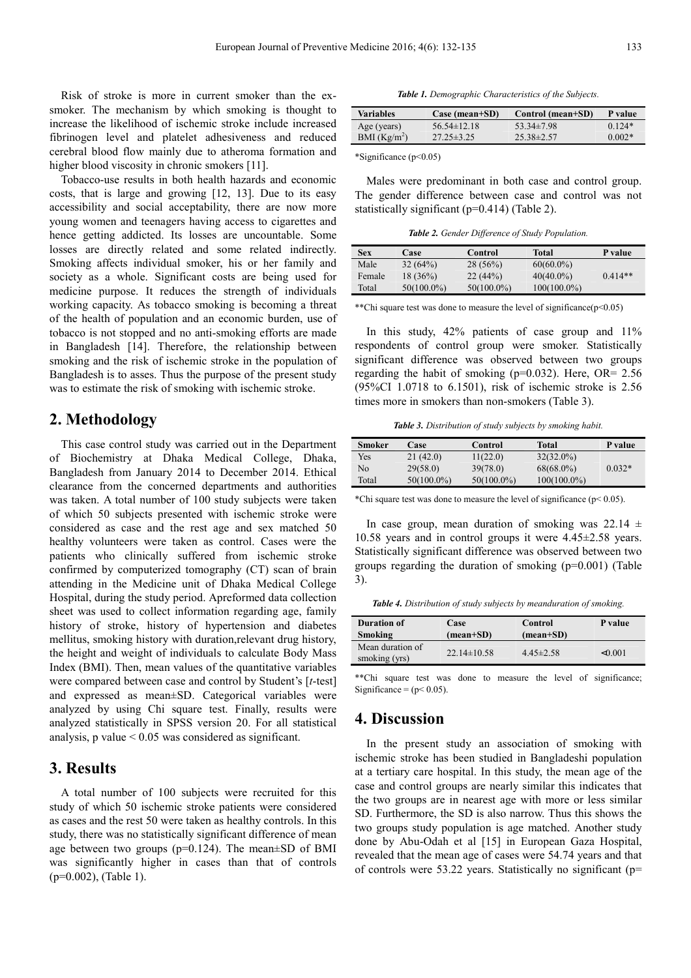Risk of stroke is more in current smoker than the exsmoker. The mechanism by which smoking is thought to increase the likelihood of ischemic stroke include increased fibrinogen level and platelet adhesiveness and reduced cerebral blood flow mainly due to atheroma formation and higher blood viscosity in chronic smokers [11].

Tobacco-use results in both health hazards and economic costs, that is large and growing [12, 13]. Due to its easy accessibility and social acceptability, there are now more young women and teenagers having access to cigarettes and hence getting addicted. Its losses are uncountable. Some losses are directly related and some related indirectly. Smoking affects individual smoker, his or her family and society as a whole. Significant costs are being used for medicine purpose. It reduces the strength of individuals working capacity. As tobacco smoking is becoming a threat of the health of population and an economic burden, use of tobacco is not stopped and no anti-smoking efforts are made in Bangladesh [14]. Therefore, the relationship between smoking and the risk of ischemic stroke in the population of Bangladesh is to asses. Thus the purpose of the present study was to estimate the risk of smoking with ischemic stroke.

### **2. Methodology**

This case control study was carried out in the Department of Biochemistry at Dhaka Medical College, Dhaka, Bangladesh from January 2014 to December 2014. Ethical clearance from the concerned departments and authorities was taken. A total number of 100 study subjects were taken of which 50 subjects presented with ischemic stroke were considered as case and the rest age and sex matched 50 healthy volunteers were taken as control. Cases were the patients who clinically suffered from ischemic stroke confirmed by computerized tomography (CT) scan of brain attending in the Medicine unit of Dhaka Medical College Hospital, during the study period. Apreformed data collection sheet was used to collect information regarding age, family history of stroke, history of hypertension and diabetes mellitus, smoking history with duration,relevant drug history, the height and weight of individuals to calculate Body Mass Index (BMI). Then, mean values of the quantitative variables were compared between case and control by Student's [*t*-test] and expressed as mean±SD. Categorical variables were analyzed by using Chi square test. Finally, results were analyzed statistically in SPSS version 20. For all statistical analysis,  $p$  value  $\leq 0.05$  was considered as significant.

# **3. Results**

A total number of 100 subjects were recruited for this study of which 50 ischemic stroke patients were considered as cases and the rest 50 were taken as healthy controls. In this study, there was no statistically significant difference of mean age between two groups ( $p=0.124$ ). The mean $\pm$ SD of BMI was significantly higher in cases than that of controls (p=0.002), (Table 1).

*Table 1. Demographic Characteristics of the Subjects.* 

| <b>Variables</b>         | Case (mean+SD)   | Control (mean+SD) | P value  |
|--------------------------|------------------|-------------------|----------|
| Age (years)              | $56.54\pm12.18$  | $53.34\pm7.98$    | $0.124*$ |
| BMI (Kg/m <sup>2</sup> ) | $27.25 \pm 3.25$ | $25.38\pm2.57$    | $0.002*$ |

\*Significance (p<0.05)

Males were predominant in both case and control group. The gender difference between case and control was not statistically significant (p=0.414) (Table 2).

*Table 2. Gender Difference of Study Population.* 

| Sex    | Case          | Control       | Total          | P value   |
|--------|---------------|---------------|----------------|-----------|
| Male   | 32(64%)       | $28(56\%)$    | $60(60.0\%)$   |           |
| Female | $18(36\%)$    | 22(44%)       | $40(40.0\%)$   | $0.414**$ |
| Total  | $50(100.0\%)$ | $50(100.0\%)$ | $100(100.0\%)$ |           |

\*\*Chi square test was done to measure the level of significance $(p<0.05)$ 

In this study, 42% patients of case group and 11% respondents of control group were smoker. Statistically significant difference was observed between two groups regarding the habit of smoking (p=0.032). Here, OR= 2.56 (95%CI 1.0718 to 6.1501), risk of ischemic stroke is 2.56 times more in smokers than non-smokers (Table 3).

*Table 3. Distribution of study subjects by smoking habit.* 

| Smoker | Case          | Control       | Total          | P value  |
|--------|---------------|---------------|----------------|----------|
| Yes    | 21(42.0)      | 11(22.0)      | $32(32.0\%)$   |          |
| No     | 29(58.0)      | 39(78.0)      | $68(68.0\%)$   | $0.032*$ |
| Total  | $50(100.0\%)$ | $50(100.0\%)$ | $100(100.0\%)$ |          |

\*Chi square test was done to measure the level of significance ( $p$  < 0.05).

In case group, mean duration of smoking was  $22.14 \pm 1$ 10.58 years and in control groups it were 4.45±2.58 years. Statistically significant difference was observed between two groups regarding the duration of smoking (p=0.001) (Table 3).

*Table 4. Distribution of study subjects by meanduration of smoking.* 

| <b>Duration of</b>                | Case              | Control            | P value |
|-----------------------------------|-------------------|--------------------|---------|
| Smoking                           | (mean+SD)         | $(\text{mean+SD})$ |         |
| Mean duration of<br>smoking (yrs) | $22.14 \pm 10.58$ | $4.45 \pm 2.58$    | < 0.001 |

\*\*Chi square test was done to measure the level of significance; Significance =  $(p< 0.05)$ .

#### **4. Discussion**

In the present study an association of smoking with ischemic stroke has been studied in Bangladeshi population at a tertiary care hospital. In this study, the mean age of the case and control groups are nearly similar this indicates that the two groups are in nearest age with more or less similar SD. Furthermore, the SD is also narrow. Thus this shows the two groups study population is age matched. Another study done by Abu-Odah et al [15] in European Gaza Hospital, revealed that the mean age of cases were 54.74 years and that of controls were 53.22 years. Statistically no significant (p=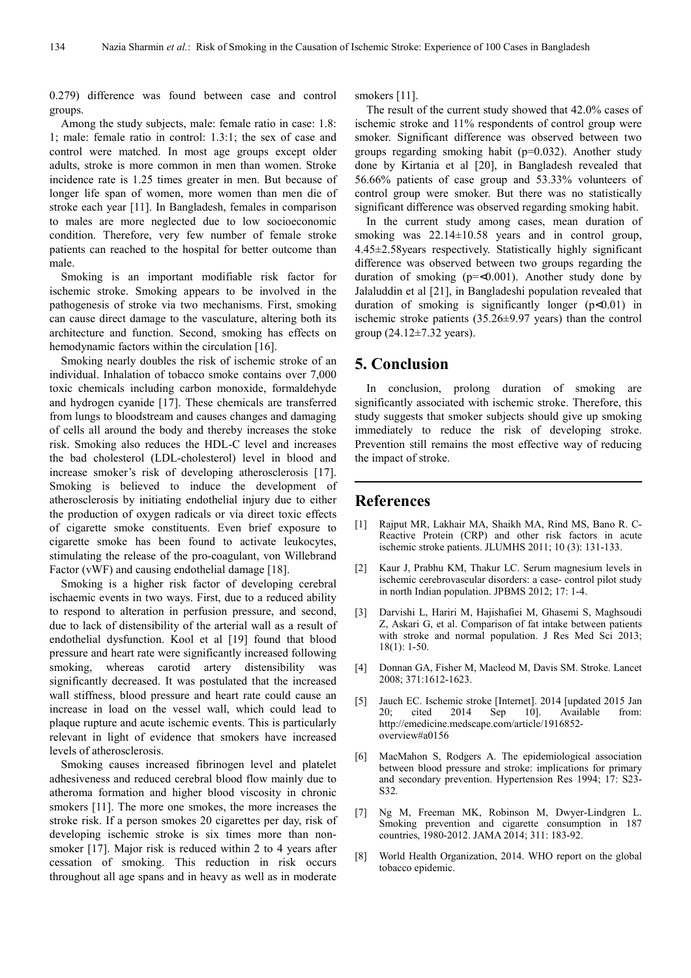0.279) difference was found between case and control groups.

Among the study subjects, male: female ratio in case: 1.8: 1; male: female ratio in control: 1.3:1; the sex of case and control were matched. In most age groups except older adults, stroke is more common in men than women. Stroke incidence rate is 1.25 times greater in men. But because of longer life span of women, more women than men die of stroke each year [11]. In Bangladesh, females in comparison to males are more neglected due to low socioeconomic condition. Therefore, very few number of female stroke patients can reached to the hospital for better outcome than male.

Smoking is an important modifiable risk factor for ischemic stroke. Smoking appears to be involved in the pathogenesis of stroke via two mechanisms. First, smoking can cause direct damage to the vasculature, altering both its architecture and function. Second, smoking has effects on hemodynamic factors within the circulation [16].

Smoking nearly doubles the risk of ischemic stroke of an individual. Inhalation of tobacco smoke contains over 7,000 toxic chemicals including carbon monoxide, formaldehyde and hydrogen cyanide [17]. These chemicals are transferred from lungs to bloodstream and causes changes and damaging of cells all around the body and thereby increases the stoke risk. Smoking also reduces the HDL-C level and increases the bad cholesterol (LDL-cholesterol) level in blood and increase smoker's risk of developing atherosclerosis [17]. Smoking is believed to induce the development of atherosclerosis by initiating endothelial injury due to either the production of oxygen radicals or via direct toxic effects of cigarette smoke constituents. Even brief exposure to cigarette smoke has been found to activate leukocytes, stimulating the release of the pro-coagulant, von Willebrand Factor (vWF) and causing endothelial damage [18].

Smoking is a higher risk factor of developing cerebral ischaemic events in two ways. First, due to a reduced ability to respond to alteration in perfusion pressure, and second, due to lack of distensibility of the arterial wall as a result of endothelial dysfunction. Kool et al [19] found that blood pressure and heart rate were significantly increased following smoking, whereas carotid artery distensibility was significantly decreased. It was postulated that the increased wall stiffness, blood pressure and heart rate could cause an increase in load on the vessel wall, which could lead to plaque rupture and acute ischemic events. This is particularly relevant in light of evidence that smokers have increased levels of atherosclerosis.

Smoking causes increased fibrinogen level and platelet adhesiveness and reduced cerebral blood flow mainly due to atheroma formation and higher blood viscosity in chronic smokers [11]. The more one smokes, the more increases the stroke risk. If a person smokes 20 cigarettes per day, risk of developing ischemic stroke is six times more than nonsmoker [17]. Major risk is reduced within 2 to 4 years after cessation of smoking. This reduction in risk occurs throughout all age spans and in heavy as well as in moderate

smokers [11].

The result of the current study showed that 42.0% cases of ischemic stroke and 11% respondents of control group were smoker. Significant difference was observed between two groups regarding smoking habit (p=0.032). Another study done by Kirtania et al [20], in Bangladesh revealed that 56.66% patients of case group and 53.33% volunteers of control group were smoker. But there was no statistically significant difference was observed regarding smoking habit.

In the current study among cases, mean duration of smoking was  $22.14 \pm 10.58$  years and in control group, 4.45±2.58years respectively. Statistically highly significant difference was observed between two groups regarding the duration of smoking  $(p=<0.001)$ . Another study done by Jalaluddin et al [21], in Bangladeshi population revealed that duration of smoking is significantly longer  $(p<0.01)$  in ischemic stroke patients (35.26±9.97 years) than the control group (24.12±7.32 years).

## **5. Conclusion**

In conclusion, prolong duration of smoking are significantly associated with ischemic stroke. Therefore, this study suggests that smoker subjects should give up smoking immediately to reduce the risk of developing stroke. Prevention still remains the most effective way of reducing the impact of stroke.

## **References**

- [1] Rajput MR, Lakhair MA, Shaikh MA, Rind MS, Bano R. C-Reactive Protein (CRP) and other risk factors in acute ischemic stroke patients. JLUMHS 2011; 10 (3): 131-133.
- [2] Kaur J, Prabhu KM, Thakur LC. Serum magnesium levels in ischemic cerebrovascular disorders: a case- control pilot study in north Indian population. JPBMS 2012; 17: 1-4.
- [3] Darvishi L, Hariri M, Hajishafiei M, Ghasemi S, Maghsoudi Z, Askari G, et al. Comparison of fat intake between patients with stroke and normal population. J Res Med Sci 2013; 18(1): 1-50.
- [4] Donnan GA, Fisher M, Macleod M, Davis SM. Stroke. Lancet 2008; 371:1612-1623.
- [5] Jauch EC. Ischemic stroke [Internet]. 2014 [updated 2015 Jan 20; cited 2014 Sep 10]. Available from: http://emedicine.medscape.com/article/1916852 overview#a0156
- [6] MacMahon S, Rodgers A. The epidemiological association between blood pressure and stroke: implications for primary and secondary prevention. Hypertension Res 1994; 17: S23- S32.
- [7] Ng M, Freeman MK, Robinson M, Dwyer-Lindgren L. Smoking prevention and cigarette consumption in 187 countries, 1980-2012. JAMA 2014; 311: 183-92.
- [8] World Health Organization, 2014. WHO report on the global tobacco epidemic.